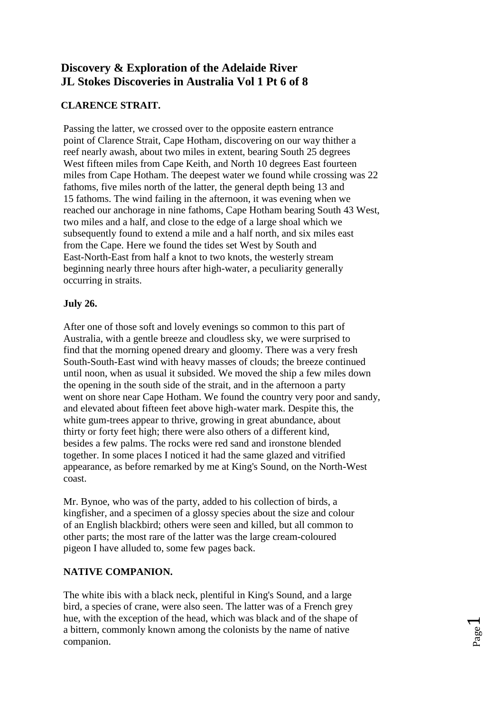# **Discovery & Exploration of the Adelaide River JL Stokes Discoveries in Australia Vol 1 Pt 6 of 8**

### **CLARENCE STRAIT.**

Passing the latter, we crossed over to the opposite eastern entrance point of Clarence Strait, Cape Hotham, discovering on our way thither a reef nearly awash, about two miles in extent, bearing South 25 degrees West fifteen miles from Cape Keith, and North 10 degrees East fourteen miles from Cape Hotham. The deepest water we found while crossing was 22 fathoms, five miles north of the latter, the general depth being 13 and 15 fathoms. The wind failing in the afternoon, it was evening when we reached our anchorage in nine fathoms, Cape Hotham bearing South 43 West, two miles and a half, and close to the edge of a large shoal which we subsequently found to extend a mile and a half north, and six miles east from the Cape. Here we found the tides set West by South and East-North-East from half a knot to two knots, the westerly stream beginning nearly three hours after high-water, a peculiarity generally occurring in straits.

### **July 26.**

After one of those soft and lovely evenings so common to this part of Australia, with a gentle breeze and cloudless sky, we were surprised to find that the morning opened dreary and gloomy. There was a very fresh South-South-East wind with heavy masses of clouds; the breeze continued until noon, when as usual it subsided. We moved the ship a few miles down the opening in the south side of the strait, and in the afternoon a party went on shore near Cape Hotham. We found the country very poor and sandy, and elevated about fifteen feet above high-water mark. Despite this, the white gum-trees appear to thrive, growing in great abundance, about thirty or forty feet high; there were also others of a different kind, besides a few palms. The rocks were red sand and ironstone blended together. In some places I noticed it had the same glazed and vitrified appearance, as before remarked by me at King's Sound, on the North-West coast.

Mr. Bynoe, who was of the party, added to his collection of birds, a kingfisher, and a specimen of a glossy species about the size and colour of an English blackbird; others were seen and killed, but all common to other parts; the most rare of the latter was the large cream-coloured pigeon I have alluded to, some few pages back.

### **NATIVE COMPANION.**

The white ibis with a black neck, plentiful in King's Sound, and a large bird, a species of crane, were also seen. The latter was of a French grey hue, with the exception of the head, which was black and of the shape of a bittern, commonly known among the colonists by the name of native companion.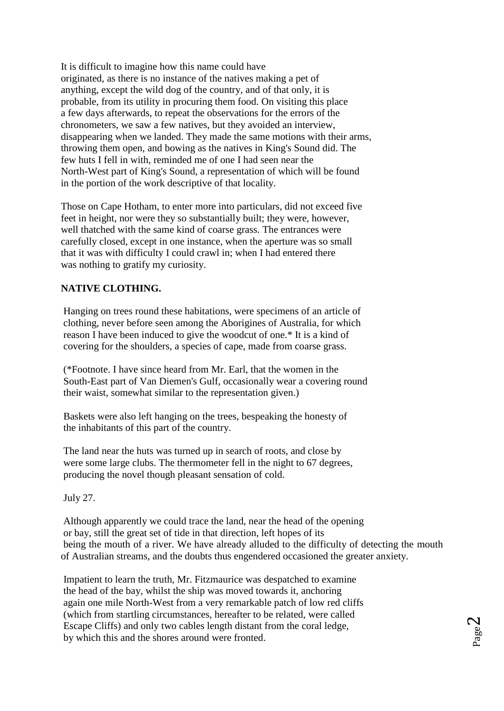It is difficult to imagine how this name could have originated, as there is no instance of the natives making a pet of anything, except the wild dog of the country, and of that only, it is probable, from its utility in procuring them food. On visiting this place a few days afterwards, to repeat the observations for the errors of the chronometers, we saw a few natives, but they avoided an interview, disappearing when we landed. They made the same motions with their arms, throwing them open, and bowing as the natives in King's Sound did. The few huts I fell in with, reminded me of one I had seen near the North-West part of King's Sound, a representation of which will be found in the portion of the work descriptive of that locality.

Those on Cape Hotham, to enter more into particulars, did not exceed five feet in height, nor were they so substantially built; they were, however, well thatched with the same kind of coarse grass. The entrances were carefully closed, except in one instance, when the aperture was so small that it was with difficulty I could crawl in; when I had entered there was nothing to gratify my curiosity.

### **NATIVE CLOTHING.**

Hanging on trees round these habitations, were specimens of an article of clothing, never before seen among the Aborigines of Australia, for which reason I have been induced to give the woodcut of one.\* It is a kind of covering for the shoulders, a species of cape, made from coarse grass.

(\*Footnote. I have since heard from Mr. Earl, that the women in the South-East part of Van Diemen's Gulf, occasionally wear a covering round their waist, somewhat similar to the representation given.)

Baskets were also left hanging on the trees, bespeaking the honesty of the inhabitants of this part of the country.

The land near the huts was turned up in search of roots, and close by were some large clubs. The thermometer fell in the night to 67 degrees, producing the novel though pleasant sensation of cold.

July 27.

Although apparently we could trace the land, near the head of the opening or bay, still the great set of tide in that direction, left hopes of its being the mouth of a river. We have already alluded to the difficulty of detecting the mouth of Australian streams, and the doubts thus engendered occasioned the greater anxiety.

Impatient to learn the truth, Mr. Fitzmaurice was despatched to examine the head of the bay, whilst the ship was moved towards it, anchoring again one mile North-West from a very remarkable patch of low red cliffs (which from startling circumstances, hereafter to be related, were called Escape Cliffs) and only two cables length distant from the coral ledge, by which this and the shores around were fronted.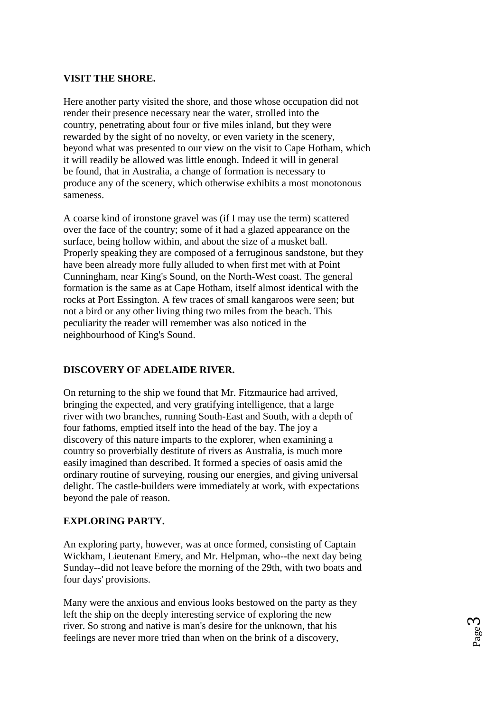#### **VISIT THE SHORE.**

Here another party visited the shore, and those whose occupation did not render their presence necessary near the water, strolled into the country, penetrating about four or five miles inland, but they were rewarded by the sight of no novelty, or even variety in the scenery, beyond what was presented to our view on the visit to Cape Hotham, which it will readily be allowed was little enough. Indeed it will in general be found, that in Australia, a change of formation is necessary to produce any of the scenery, which otherwise exhibits a most monotonous sameness.

A coarse kind of ironstone gravel was (if I may use the term) scattered over the face of the country; some of it had a glazed appearance on the surface, being hollow within, and about the size of a musket ball. Properly speaking they are composed of a ferruginous sandstone, but they have been already more fully alluded to when first met with at Point Cunningham, near King's Sound, on the North-West coast. The general formation is the same as at Cape Hotham, itself almost identical with the rocks at Port Essington. A few traces of small kangaroos were seen; but not a bird or any other living thing two miles from the beach. This peculiarity the reader will remember was also noticed in the neighbourhood of King's Sound.

### **DISCOVERY OF ADELAIDE RIVER.**

On returning to the ship we found that Mr. Fitzmaurice had arrived, bringing the expected, and very gratifying intelligence, that a large river with two branches, running South-East and South, with a depth of four fathoms, emptied itself into the head of the bay. The joy a discovery of this nature imparts to the explorer, when examining a country so proverbially destitute of rivers as Australia, is much more easily imagined than described. It formed a species of oasis amid the ordinary routine of surveying, rousing our energies, and giving universal delight. The castle-builders were immediately at work, with expectations beyond the pale of reason.

#### **EXPLORING PARTY.**

An exploring party, however, was at once formed, consisting of Captain Wickham, Lieutenant Emery, and Mr. Helpman, who--the next day being Sunday--did not leave before the morning of the 29th, with two boats and four days' provisions.

Many were the anxious and envious looks bestowed on the party as they left the ship on the deeply interesting service of exploring the new river. So strong and native is man's desire for the unknown, that his feelings are never more tried than when on the brink of a discovery,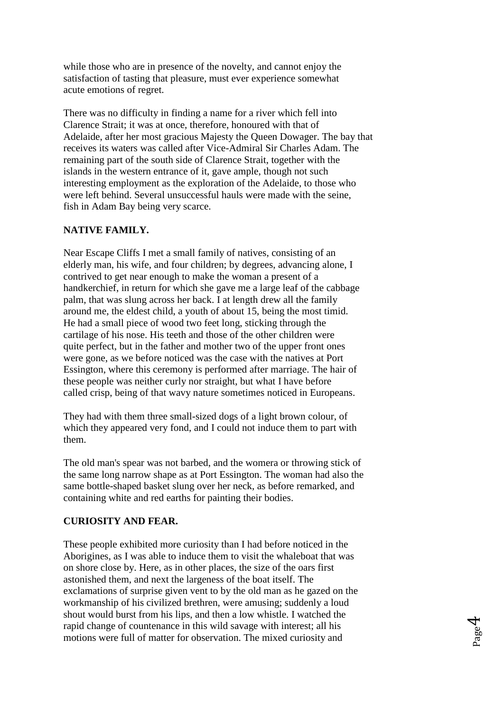while those who are in presence of the novelty, and cannot enjoy the satisfaction of tasting that pleasure, must ever experience somewhat acute emotions of regret.

There was no difficulty in finding a name for a river which fell into Clarence Strait; it was at once, therefore, honoured with that of Adelaide, after her most gracious Majesty the Queen Dowager. The bay that receives its waters was called after Vice-Admiral Sir Charles Adam. The remaining part of the south side of Clarence Strait, together with the islands in the western entrance of it, gave ample, though not such interesting employment as the exploration of the Adelaide, to those who were left behind. Several unsuccessful hauls were made with the seine, fish in Adam Bay being very scarce.

### **NATIVE FAMILY.**

Near Escape Cliffs I met a small family of natives, consisting of an elderly man, his wife, and four children; by degrees, advancing alone, I contrived to get near enough to make the woman a present of a handkerchief, in return for which she gave me a large leaf of the cabbage palm, that was slung across her back. I at length drew all the family around me, the eldest child, a youth of about 15, being the most timid. He had a small piece of wood two feet long, sticking through the cartilage of his nose. His teeth and those of the other children were quite perfect, but in the father and mother two of the upper front ones were gone, as we before noticed was the case with the natives at Port Essington, where this ceremony is performed after marriage. The hair of these people was neither curly nor straight, but what I have before called crisp, being of that wavy nature sometimes noticed in Europeans.

They had with them three small-sized dogs of a light brown colour, of which they appeared very fond, and I could not induce them to part with them.

The old man's spear was not barbed, and the womera or throwing stick of the same long narrow shape as at Port Essington. The woman had also the same bottle-shaped basket slung over her neck, as before remarked, and containing white and red earths for painting their bodies.

#### **CURIOSITY AND FEAR.**

These people exhibited more curiosity than I had before noticed in the Aborigines, as I was able to induce them to visit the whaleboat that was on shore close by. Here, as in other places, the size of the oars first astonished them, and next the largeness of the boat itself. The exclamations of surprise given vent to by the old man as he gazed on the workmanship of his civilized brethren, were amusing; suddenly a loud shout would burst from his lips, and then a low whistle. I watched the rapid change of countenance in this wild savage with interest; all his motions were full of matter for observation. The mixed curiosity and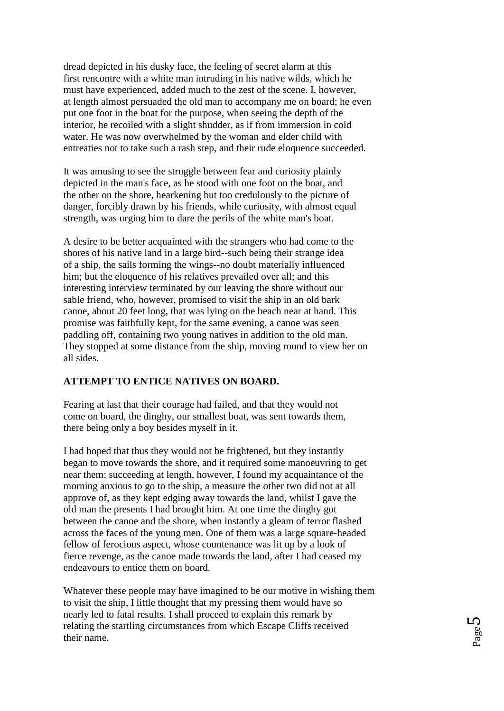dread depicted in his dusky face, the feeling of secret alarm at this first rencontre with a white man intruding in his native wilds, which he must have experienced, added much to the zest of the scene. I, however, at length almost persuaded the old man to accompany me on board; he even put one foot in the boat for the purpose, when seeing the depth of the interior, he recoiled with a slight shudder, as if from immersion in cold water. He was now overwhelmed by the woman and elder child with entreaties not to take such a rash step, and their rude eloquence succeeded.

It was amusing to see the struggle between fear and curiosity plainly depicted in the man's face, as he stood with one foot on the boat, and the other on the shore, hearkening but too credulously to the picture of danger, forcibly drawn by his friends, while curiosity, with almost equal strength, was urging him to dare the perils of the white man's boat.

A desire to be better acquainted with the strangers who had come to the shores of his native land in a large bird--such being their strange idea of a ship, the sails forming the wings--no doubt materially influenced him; but the eloquence of his relatives prevailed over all; and this interesting interview terminated by our leaving the shore without our sable friend, who, however, promised to visit the ship in an old bark canoe, about 20 feet long, that was lying on the beach near at hand. This promise was faithfully kept, for the same evening, a canoe was seen paddling off, containing two young natives in addition to the old man. They stopped at some distance from the ship, moving round to view her on all sides.

### **ATTEMPT TO ENTICE NATIVES ON BOARD.**

Fearing at last that their courage had failed, and that they would not come on board, the dinghy, our smallest boat, was sent towards them, there being only a boy besides myself in it.

I had hoped that thus they would not be frightened, but they instantly began to move towards the shore, and it required some manoeuvring to get near them; succeeding at length, however, I found my acquaintance of the morning anxious to go to the ship, a measure the other two did not at all approve of, as they kept edging away towards the land, whilst I gave the old man the presents I had brought him. At one time the dinghy got between the canoe and the shore, when instantly a gleam of terror flashed across the faces of the young men. One of them was a large square-headed fellow of ferocious aspect, whose countenance was lit up by a look of fierce revenge, as the canoe made towards the land, after I had ceased my endeavours to entice them on board.

Whatever these people may have imagined to be our motive in wishing them to visit the ship, I little thought that my pressing them would have so nearly led to fatal results. I shall proceed to explain this remark by relating the startling circumstances from which Escape Cliffs received their name.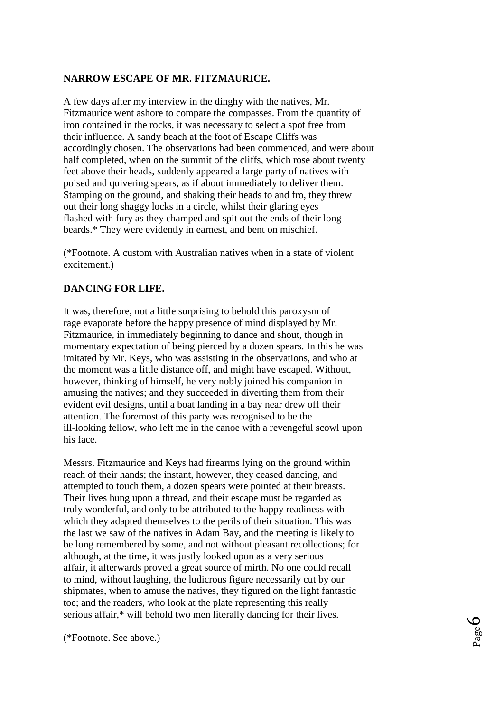### **NARROW ESCAPE OF MR. FITZMAURICE.**

A few days after my interview in the dinghy with the natives, Mr. Fitzmaurice went ashore to compare the compasses. From the quantity of iron contained in the rocks, it was necessary to select a spot free from their influence. A sandy beach at the foot of Escape Cliffs was accordingly chosen. The observations had been commenced, and were about half completed, when on the summit of the cliffs, which rose about twenty feet above their heads, suddenly appeared a large party of natives with poised and quivering spears, as if about immediately to deliver them. Stamping on the ground, and shaking their heads to and fro, they threw out their long shaggy locks in a circle, whilst their glaring eyes flashed with fury as they champed and spit out the ends of their long beards.\* They were evidently in earnest, and bent on mischief.

(\*Footnote. A custom with Australian natives when in a state of violent excitement.)

### **DANCING FOR LIFE.**

It was, therefore, not a little surprising to behold this paroxysm of rage evaporate before the happy presence of mind displayed by Mr. Fitzmaurice, in immediately beginning to dance and shout, though in momentary expectation of being pierced by a dozen spears. In this he was imitated by Mr. Keys, who was assisting in the observations, and who at the moment was a little distance off, and might have escaped. Without, however, thinking of himself, he very nobly joined his companion in amusing the natives; and they succeeded in diverting them from their evident evil designs, until a boat landing in a bay near drew off their attention. The foremost of this party was recognised to be the ill-looking fellow, who left me in the canoe with a revengeful scowl upon his face.

Messrs. Fitzmaurice and Keys had firearms lying on the ground within reach of their hands; the instant, however, they ceased dancing, and attempted to touch them, a dozen spears were pointed at their breasts. Their lives hung upon a thread, and their escape must be regarded as truly wonderful, and only to be attributed to the happy readiness with which they adapted themselves to the perils of their situation. This was the last we saw of the natives in Adam Bay, and the meeting is likely to be long remembered by some, and not without pleasant recollections; for although, at the time, it was justly looked upon as a very serious affair, it afterwards proved a great source of mirth. No one could recall to mind, without laughing, the ludicrous figure necessarily cut by our shipmates, when to amuse the natives, they figured on the light fantastic toe; and the readers, who look at the plate representing this really serious affair,\* will behold two men literally dancing for their lives.

(\*Footnote. See above.)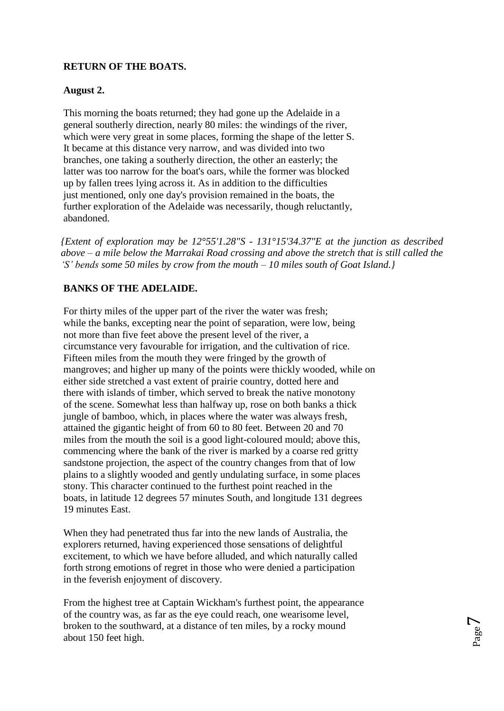## **RETURN OF THE BOATS.**

### **August 2.**

This morning the boats returned; they had gone up the Adelaide in a general southerly direction, nearly 80 miles: the windings of the river, which were very great in some places, forming the shape of the letter S. It became at this distance very narrow, and was divided into two branches, one taking a southerly direction, the other an easterly; the latter was too narrow for the boat's oars, while the former was blocked up by fallen trees lying across it. As in addition to the difficulties just mentioned, only one day's provision remained in the boats, the further exploration of the Adelaide was necessarily, though reluctantly, abandoned.

*{Extent of exploration may be 12°55'1.28"S - 131°15'34.37"E at the junction as described above – a mile below the Marrakai Road crossing and above the stretch that is still called the 'S' bends some 50 miles by crow from the mouth – 10 miles south of Goat Island.}*

### **BANKS OF THE ADELAIDE.**

For thirty miles of the upper part of the river the water was fresh; while the banks, excepting near the point of separation, were low, being not more than five feet above the present level of the river, a circumstance very favourable for irrigation, and the cultivation of rice. Fifteen miles from the mouth they were fringed by the growth of mangroves; and higher up many of the points were thickly wooded, while on either side stretched a vast extent of prairie country, dotted here and there with islands of timber, which served to break the native monotony of the scene. Somewhat less than halfway up, rose on both banks a thick jungle of bamboo, which, in places where the water was always fresh, attained the gigantic height of from 60 to 80 feet. Between 20 and 70 miles from the mouth the soil is a good light-coloured mould; above this, commencing where the bank of the river is marked by a coarse red gritty sandstone projection, the aspect of the country changes from that of low plains to a slightly wooded and gently undulating surface, in some places stony. This character continued to the furthest point reached in the boats, in latitude 12 degrees 57 minutes South, and longitude 131 degrees 19 minutes East.

When they had penetrated thus far into the new lands of Australia, the explorers returned, having experienced those sensations of delightful excitement, to which we have before alluded, and which naturally called forth strong emotions of regret in those who were denied a participation in the feverish enjoyment of discovery.

From the highest tree at Captain Wickham's furthest point, the appearance of the country was, as far as the eye could reach, one wearisome level, broken to the southward, at a distance of ten miles, by a rocky mound about 150 feet high.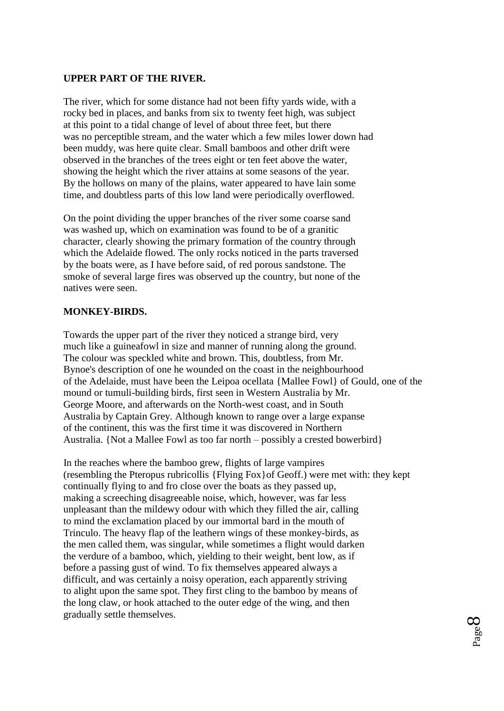#### **UPPER PART OF THE RIVER.**

The river, which for some distance had not been fifty yards wide, with a rocky bed in places, and banks from six to twenty feet high, was subject at this point to a tidal change of level of about three feet, but there was no perceptible stream, and the water which a few miles lower down had been muddy, was here quite clear. Small bamboos and other drift were observed in the branches of the trees eight or ten feet above the water, showing the height which the river attains at some seasons of the year. By the hollows on many of the plains, water appeared to have lain some time, and doubtless parts of this low land were periodically overflowed.

On the point dividing the upper branches of the river some coarse sand was washed up, which on examination was found to be of a granitic character, clearly showing the primary formation of the country through which the Adelaide flowed. The only rocks noticed in the parts traversed by the boats were, as I have before said, of red porous sandstone. The smoke of several large fires was observed up the country, but none of the natives were seen.

#### **MONKEY-BIRDS.**

Towards the upper part of the river they noticed a strange bird, very much like a guineafowl in size and manner of running along the ground. The colour was speckled white and brown. This, doubtless, from Mr. Bynoe's description of one he wounded on the coast in the neighbourhood of the Adelaide, must have been the Leipoa ocellata {Mallee Fowl} of Gould, one of the mound or tumuli-building birds, first seen in Western Australia by Mr. George Moore, and afterwards on the North-west coast, and in South Australia by Captain Grey. Although known to range over a large expanse of the continent, this was the first time it was discovered in Northern Australia. {Not a Mallee Fowl as too far north – possibly a crested bowerbird}

In the reaches where the bamboo grew, flights of large vampires (resembling the Pteropus rubricollis {Flying Fox}of Geoff.) were met with: they kept continually flying to and fro close over the boats as they passed up, making a screeching disagreeable noise, which, however, was far less unpleasant than the mildewy odour with which they filled the air, calling to mind the exclamation placed by our immortal bard in the mouth of Trinculo. The heavy flap of the leathern wings of these monkey-birds, as the men called them, was singular, while sometimes a flight would darken the verdure of a bamboo, which, yielding to their weight, bent low, as if before a passing gust of wind. To fix themselves appeared always a difficult, and was certainly a noisy operation, each apparently striving to alight upon the same spot. They first cling to the bamboo by means of the long claw, or hook attached to the outer edge of the wing, and then gradually settle themselves.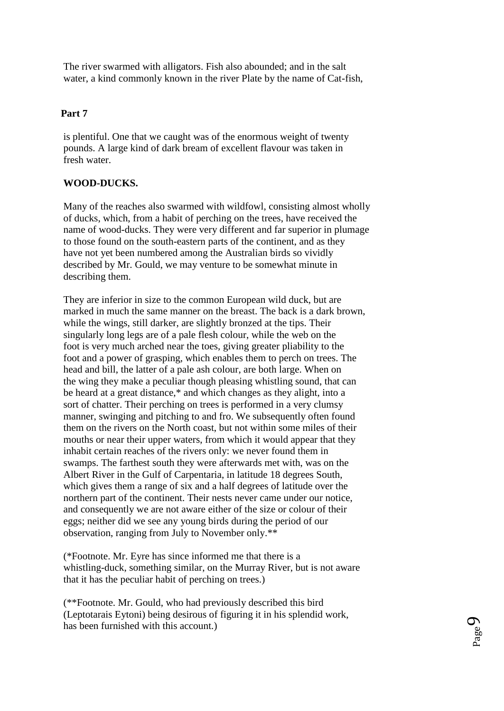The river swarmed with alligators. Fish also abounded; and in the salt water, a kind commonly known in the river Plate by the name of Cat-fish,

### **Part 7**

is plentiful. One that we caught was of the enormous weight of twenty pounds. A large kind of dark bream of excellent flavour was taken in fresh water.

## **WOOD-DUCKS.**

Many of the reaches also swarmed with wildfowl, consisting almost wholly of ducks, which, from a habit of perching on the trees, have received the name of wood-ducks. They were very different and far superior in plumage to those found on the south-eastern parts of the continent, and as they have not yet been numbered among the Australian birds so vividly described by Mr. Gould, we may venture to be somewhat minute in describing them.

They are inferior in size to the common European wild duck, but are marked in much the same manner on the breast. The back is a dark brown, while the wings, still darker, are slightly bronzed at the tips. Their singularly long legs are of a pale flesh colour, while the web on the foot is very much arched near the toes, giving greater pliability to the foot and a power of grasping, which enables them to perch on trees. The head and bill, the latter of a pale ash colour, are both large. When on the wing they make a peculiar though pleasing whistling sound, that can be heard at a great distance,\* and which changes as they alight, into a sort of chatter. Their perching on trees is performed in a very clumsy manner, swinging and pitching to and fro. We subsequently often found them on the rivers on the North coast, but not within some miles of their mouths or near their upper waters, from which it would appear that they inhabit certain reaches of the rivers only: we never found them in swamps. The farthest south they were afterwards met with, was on the Albert River in the Gulf of Carpentaria, in latitude 18 degrees South, which gives them a range of six and a half degrees of latitude over the northern part of the continent. Their nests never came under our notice, and consequently we are not aware either of the size or colour of their eggs; neither did we see any young birds during the period of our observation, ranging from July to November only.\*\*

(\*Footnote. Mr. Eyre has since informed me that there is a whistling-duck, something similar, on the Murray River, but is not aware that it has the peculiar habit of perching on trees.)

(\*\*Footnote. Mr. Gould, who had previously described this bird (Leptotarais Eytoni) being desirous of figuring it in his splendid work, has been furnished with this account.)

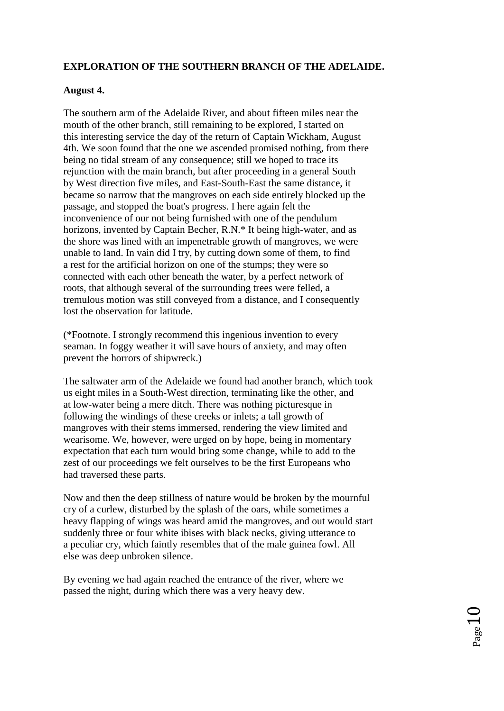## **EXPLORATION OF THE SOUTHERN BRANCH OF THE ADELAIDE.**

### **August 4.**

The southern arm of the Adelaide River, and about fifteen miles near the mouth of the other branch, still remaining to be explored, I started on this interesting service the day of the return of Captain Wickham, August 4th. We soon found that the one we ascended promised nothing, from there being no tidal stream of any consequence; still we hoped to trace its rejunction with the main branch, but after proceeding in a general South by West direction five miles, and East-South-East the same distance, it became so narrow that the mangroves on each side entirely blocked up the passage, and stopped the boat's progress. I here again felt the inconvenience of our not being furnished with one of the pendulum horizons, invented by Captain Becher, R.N.\* It being high-water, and as the shore was lined with an impenetrable growth of mangroves, we were unable to land. In vain did I try, by cutting down some of them, to find a rest for the artificial horizon on one of the stumps; they were so connected with each other beneath the water, by a perfect network of roots, that although several of the surrounding trees were felled, a tremulous motion was still conveyed from a distance, and I consequently lost the observation for latitude.

(\*Footnote. I strongly recommend this ingenious invention to every seaman. In foggy weather it will save hours of anxiety, and may often prevent the horrors of shipwreck.)

The saltwater arm of the Adelaide we found had another branch, which took us eight miles in a South-West direction, terminating like the other, and at low-water being a mere ditch. There was nothing picturesque in following the windings of these creeks or inlets; a tall growth of mangroves with their stems immersed, rendering the view limited and wearisome. We, however, were urged on by hope, being in momentary expectation that each turn would bring some change, while to add to the zest of our proceedings we felt ourselves to be the first Europeans who had traversed these parts.

Now and then the deep stillness of nature would be broken by the mournful cry of a curlew, disturbed by the splash of the oars, while sometimes a heavy flapping of wings was heard amid the mangroves, and out would start suddenly three or four white ibises with black necks, giving utterance to a peculiar cry, which faintly resembles that of the male guinea fowl. All else was deep unbroken silence.

By evening we had again reached the entrance of the river, where we passed the night, during which there was a very heavy dew.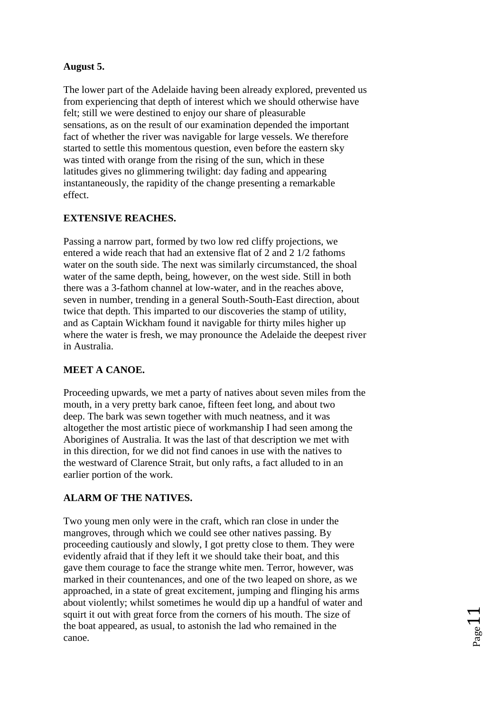### **August 5.**

The lower part of the Adelaide having been already explored, prevented us from experiencing that depth of interest which we should otherwise have felt; still we were destined to enjoy our share of pleasurable sensations, as on the result of our examination depended the important fact of whether the river was navigable for large vessels. We therefore started to settle this momentous question, even before the eastern sky was tinted with orange from the rising of the sun, which in these latitudes gives no glimmering twilight: day fading and appearing instantaneously, the rapidity of the change presenting a remarkable effect.

### **EXTENSIVE REACHES.**

Passing a narrow part, formed by two low red cliffy projections, we entered a wide reach that had an extensive flat of 2 and 2 1/2 fathoms water on the south side. The next was similarly circumstanced, the shoal water of the same depth, being, however, on the west side. Still in both there was a 3-fathom channel at low-water, and in the reaches above, seven in number, trending in a general South-South-East direction, about twice that depth. This imparted to our discoveries the stamp of utility, and as Captain Wickham found it navigable for thirty miles higher up where the water is fresh, we may pronounce the Adelaide the deepest river in Australia.

### **MEET A CANOE.**

Proceeding upwards, we met a party of natives about seven miles from the mouth, in a very pretty bark canoe, fifteen feet long, and about two deep. The bark was sewn together with much neatness, and it was altogether the most artistic piece of workmanship I had seen among the Aborigines of Australia. It was the last of that description we met with in this direction, for we did not find canoes in use with the natives to the westward of Clarence Strait, but only rafts, a fact alluded to in an earlier portion of the work.

# **ALARM OF THE NATIVES.**

Two young men only were in the craft, which ran close in under the mangroves, through which we could see other natives passing. By proceeding cautiously and slowly, I got pretty close to them. They were evidently afraid that if they left it we should take their boat, and this gave them courage to face the strange white men. Terror, however, was marked in their countenances, and one of the two leaped on shore, as we approached, in a state of great excitement, jumping and flinging his arms about violently; whilst sometimes he would dip up a handful of water and squirt it out with great force from the corners of his mouth. The size of the boat appeared, as usual, to astonish the lad who remained in the canoe.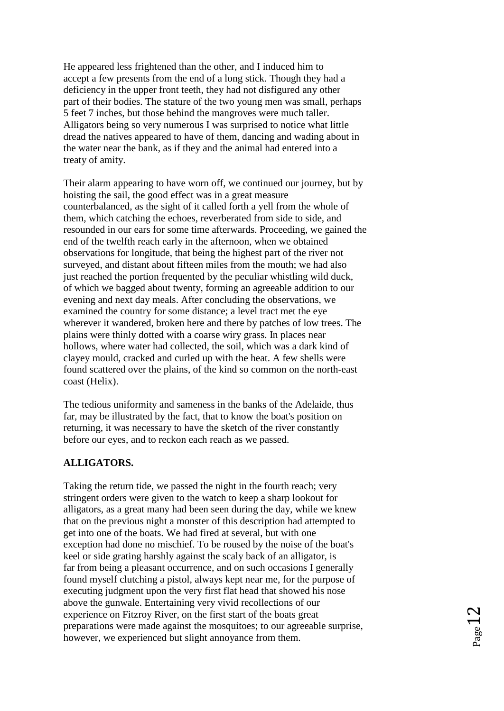He appeared less frightened than the other, and I induced him to accept a few presents from the end of a long stick. Though they had a deficiency in the upper front teeth, they had not disfigured any other part of their bodies. The stature of the two young men was small, perhaps 5 feet 7 inches, but those behind the mangroves were much taller. Alligators being so very numerous I was surprised to notice what little dread the natives appeared to have of them, dancing and wading about in the water near the bank, as if they and the animal had entered into a treaty of amity.

Their alarm appearing to have worn off, we continued our journey, but by hoisting the sail, the good effect was in a great measure counterbalanced, as the sight of it called forth a yell from the whole of them, which catching the echoes, reverberated from side to side, and resounded in our ears for some time afterwards. Proceeding, we gained the end of the twelfth reach early in the afternoon, when we obtained observations for longitude, that being the highest part of the river not surveyed, and distant about fifteen miles from the mouth; we had also just reached the portion frequented by the peculiar whistling wild duck, of which we bagged about twenty, forming an agreeable addition to our evening and next day meals. After concluding the observations, we examined the country for some distance; a level tract met the eye wherever it wandered, broken here and there by patches of low trees. The plains were thinly dotted with a coarse wiry grass. In places near hollows, where water had collected, the soil, which was a dark kind of clayey mould, cracked and curled up with the heat. A few shells were found scattered over the plains, of the kind so common on the north-east coast (Helix).

The tedious uniformity and sameness in the banks of the Adelaide, thus far, may be illustrated by the fact, that to know the boat's position on returning, it was necessary to have the sketch of the river constantly before our eyes, and to reckon each reach as we passed.

#### **ALLIGATORS.**

Taking the return tide, we passed the night in the fourth reach; very stringent orders were given to the watch to keep a sharp lookout for alligators, as a great many had been seen during the day, while we knew that on the previous night a monster of this description had attempted to get into one of the boats. We had fired at several, but with one exception had done no mischief. To be roused by the noise of the boat's keel or side grating harshly against the scaly back of an alligator, is far from being a pleasant occurrence, and on such occasions I generally found myself clutching a pistol, always kept near me, for the purpose of executing judgment upon the very first flat head that showed his nose above the gunwale. Entertaining very vivid recollections of our experience on Fitzroy River, on the first start of the boats great preparations were made against the mosquitoes; to our agreeable surprise, however, we experienced but slight annoyance from them.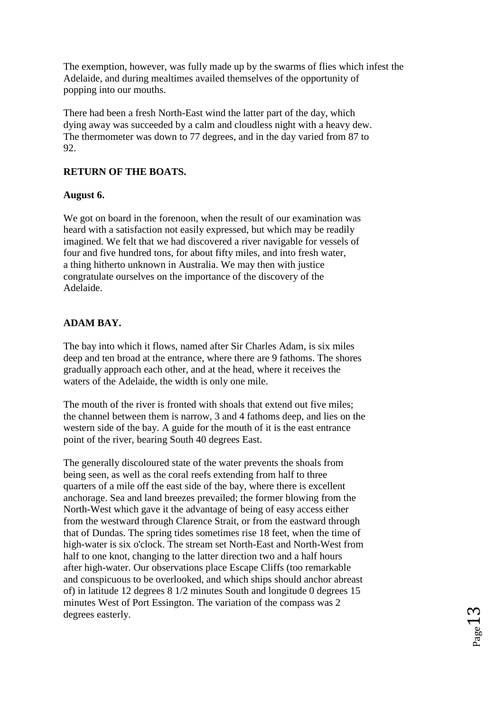The exemption, however, was fully made up by the swarms of flies which infest the Adelaide, and during mealtimes availed themselves of the opportunity of popping into our mouths.

There had been a fresh North-East wind the latter part of the day, which dying away was succeeded by a calm and cloudless night with a heavy dew. The thermometer was down to 77 degrees, and in the day varied from 87 to  $92.$ 

### **RETURN OF THE BOATS.**

#### **August 6.**

We got on board in the forenoon, when the result of our examination was heard with a satisfaction not easily expressed, but which may be readily imagined. We felt that we had discovered a river navigable for vessels of four and five hundred tons, for about fifty miles, and into fresh water, a thing hitherto unknown in Australia. We may then with justice congratulate ourselves on the importance of the discovery of the Adelaide.

### **ADAM BAY.**

The bay into which it flows, named after Sir Charles Adam, is six miles deep and ten broad at the entrance, where there are 9 fathoms. The shores gradually approach each other, and at the head, where it receives the waters of the Adelaide, the width is only one mile.

The mouth of the river is fronted with shoals that extend out five miles; the channel between them is narrow, 3 and 4 fathoms deep, and lies on the western side of the bay. A guide for the mouth of it is the east entrance point of the river, bearing South 40 degrees East.

The generally discoloured state of the water prevents the shoals from being seen, as well as the coral reefs extending from half to three quarters of a mile off the east side of the bay, where there is excellent anchorage. Sea and land breezes prevailed; the former blowing from the North-West which gave it the advantage of being of easy access either from the westward through Clarence Strait, or from the eastward through that of Dundas. The spring tides sometimes rise 18 feet, when the time of high-water is six o'clock. The stream set North-East and North-West from half to one knot, changing to the latter direction two and a half hours after high-water. Our observations place Escape Cliffs (too remarkable and conspicuous to be overlooked, and which ships should anchor abreast of) in latitude 12 degrees 8 1/2 minutes South and longitude 0 degrees 15 minutes West of Port Essington. The variation of the compass was 2 degrees easterly.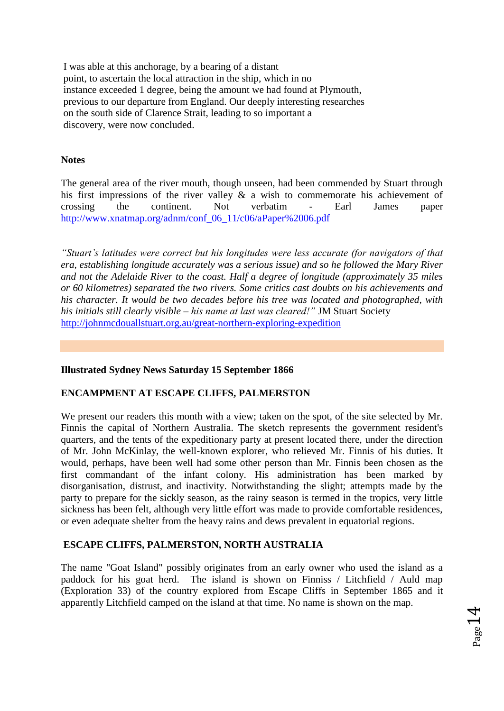I was able at this anchorage, by a bearing of a distant point, to ascertain the local attraction in the ship, which in no instance exceeded 1 degree, being the amount we had found at Plymouth, previous to our departure from England. Our deeply interesting researches on the south side of Clarence Strait, leading to so important a discovery, were now concluded.

#### **Notes**

The general area of the river mouth, though unseen, had been commended by Stuart through his first impressions of the river valley & a wish to commemorate his achievement of crossing the continent. Not verbatim - Earl James paper [http://www.xnatmap.org/adnm/conf\\_06\\_11/c06/aPaper%2006.pdf](http://www.xnatmap.org/adnm/conf_06_11/c06/aPaper%2006.pdf) 

*"Stuart's latitudes were correct but his longitudes were less accurate (for navigators of that era, establishing longitude accurately was a serious issue) and so he followed the Mary River and not the Adelaide River to the coast. Half a degree of longitude (approximately 35 miles or 60 kilometres) separated the two rivers. Some critics cast doubts on his achievements and his character. It would be two decades before his tree was located and photographed, with his initials still clearly visible – his name at last was cleared!"* JM Stuart Society <http://johnmcdouallstuart.org.au/great-northern-exploring-expedition>

#### **Illustrated Sydney News Saturday 15 September 1866**

#### **ENCAMPMENT AT ESCAPE CLIFFS, PALMERSTON**

We present our readers this month with a view; taken on the spot, of the site selected by Mr. Finnis the capital of Northern Australia. The sketch represents the government resident's quarters, and the tents of the expeditionary party at present located there, under the direction of Mr. John McKinlay, the well-known explorer, who relieved Mr. Finnis of his duties. It would, perhaps, have been well had some other person than Mr. Finnis been chosen as the first commandant of the infant colony. His administration has been marked by disorganisation, distrust, and inactivity. Notwithstanding the slight; attempts made by the party to prepare for the sickly season, as the rainy season is termed in the tropics, very little sickness has been felt, although very little effort was made to provide comfortable residences, or even adequate shelter from the heavy rains and dews prevalent in equatorial regions.

#### **ESCAPE CLIFFS, PALMERSTON, NORTH AUSTRALIA**

The name "Goat Island" possibly originates from an early owner who used the island as a paddock for his goat herd. The island is shown on Finniss / Litchfield / Auld map (Exploration 33) of the country explored from Escape Cliffs in September 1865 and it apparently Litchfield camped on the island at that time. No name is shown on the map.